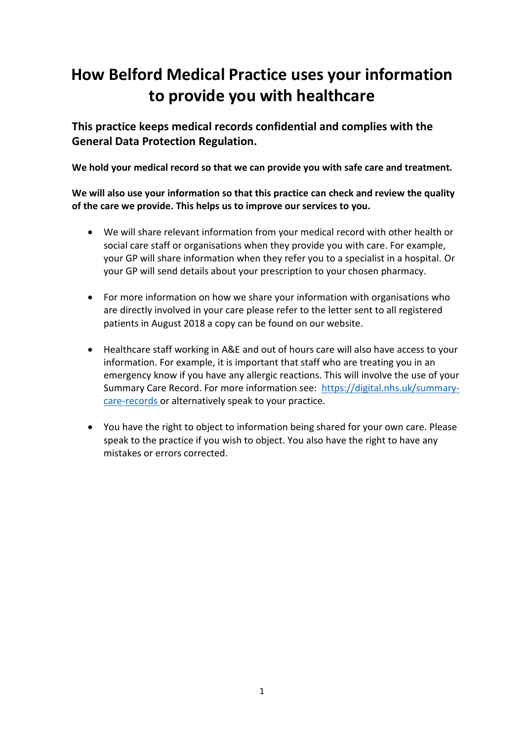# **How Belford Medical Practice uses your information to provide you with healthcare**

**This practice keeps medical records confidential and complies with the General Data Protection Regulation.**

**We hold your medical record so that we can provide you with safe care and treatment.** 

**We will also use your information so that this practice can check and review the quality of the care we provide. This helps us to improve our services to you.** 

- We will share relevant information from your medical record with other health or social care staff or organisations when they provide you with care. For example, your GP will share information when they refer you to a specialist in a hospital. Or your GP will send details about your prescription to your chosen pharmacy.
- For more information on how we share your information with organisations who are directly involved in your care please refer to the letter sent to all registered patients in August 2018 a copy can be found on our website.
- Healthcare staff working in A&E and out of hours care will also have access to your information. For example, it is important that staff who are treating you in an emergency know if you have any allergic reactions. This will involve the use of your Summary Care Record. For more information see: [https://digital.nhs.uk/summary](https://digital.nhs.uk/summary-care-records)[care-records](https://digital.nhs.uk/summary-care-records) or alternatively speak to your practice.
- You have the right to object to information being shared for your own care. Please speak to the practice if you wish to object. You also have the right to have any mistakes or errors corrected.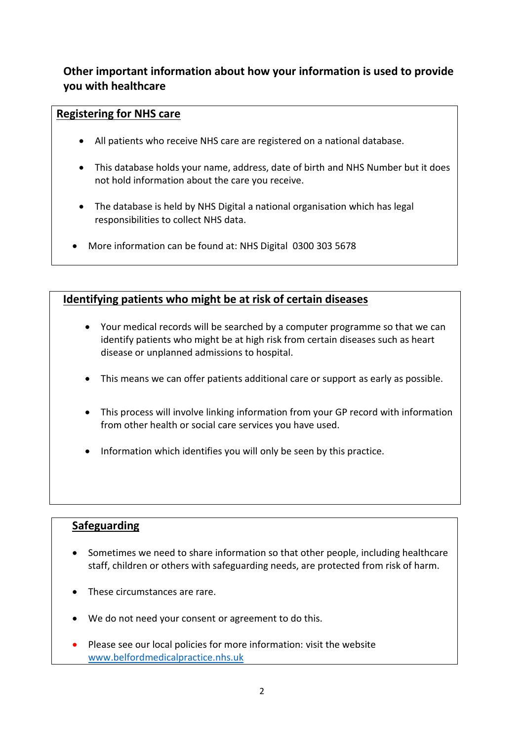## **Other important information about how your information is used to provide you with healthcare**

#### **Registering for NHS care**

- All patients who receive NHS care are registered on a national database.
- This database holds your name, address, date of birth and NHS Number but it does not hold information about the care you receive.
- The database is held by NHS Digital a national organisation which has legal responsibilities to collect NHS data.
- More information can be found at: NHS Digital 0300 303 5678

## **Identifying patients who might be at risk of certain diseases**

- Your medical records will be searched by a computer programme so that we can identify patients who might be at high risk from certain diseases such as heart disease or unplanned admissions to hospital.
- This means we can offer patients additional care or support as early as possible.
- This process will involve linking information from your GP record with information from other health or social care services you have used.
- Information which identifies you will only be seen by this practice.

### **Safeguarding**

- Sometimes we need to share information so that other people, including healthcare staff, children or others with safeguarding needs, are protected from risk of harm.
- These circumstances are rare.
- We do not need your consent or agreement to do this.
- Please see our local policies for more information: visit the website [www.belfordmedicalpractice.nhs.uk](http://www.belfordmedicalpractice.nhs.uk/)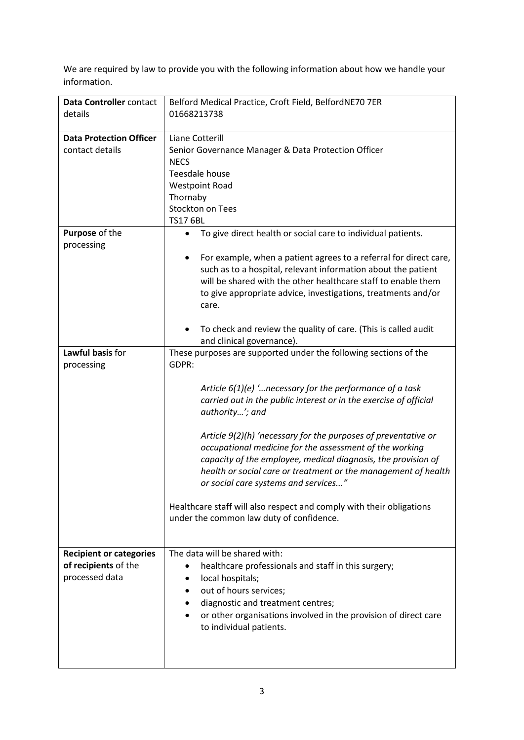We are required by law to provide you with the following information about how we handle your information.

| Data Controller contact<br>details | Belford Medical Practice, Croft Field, BelfordNE70 7ER<br>01668213738                                                          |
|------------------------------------|--------------------------------------------------------------------------------------------------------------------------------|
|                                    |                                                                                                                                |
| <b>Data Protection Officer</b>     | Liane Cotterill                                                                                                                |
| contact details                    | Senior Governance Manager & Data Protection Officer                                                                            |
|                                    | <b>NECS</b>                                                                                                                    |
|                                    | Teesdale house                                                                                                                 |
|                                    | <b>Westpoint Road</b>                                                                                                          |
|                                    | Thornaby                                                                                                                       |
|                                    | <b>Stockton on Tees</b>                                                                                                        |
|                                    | <b>TS17 6BL</b>                                                                                                                |
| Purpose of the                     | To give direct health or social care to individual patients.<br>$\bullet$                                                      |
| processing                         |                                                                                                                                |
|                                    | For example, when a patient agrees to a referral for direct care,                                                              |
|                                    | such as to a hospital, relevant information about the patient<br>will be shared with the other healthcare staff to enable them |
|                                    | to give appropriate advice, investigations, treatments and/or                                                                  |
|                                    | care.                                                                                                                          |
|                                    |                                                                                                                                |
|                                    | To check and review the quality of care. (This is called audit<br>٠                                                            |
|                                    | and clinical governance).                                                                                                      |
| Lawful basis for                   | These purposes are supported under the following sections of the                                                               |
| processing                         | GDPR:                                                                                                                          |
|                                    |                                                                                                                                |
|                                    | Article $6(1)(e)$ ' necessary for the performance of a task                                                                    |
|                                    | carried out in the public interest or in the exercise of official                                                              |
|                                    | authority'; and                                                                                                                |
|                                    |                                                                                                                                |
|                                    | Article 9(2)(h) 'necessary for the purposes of preventative or                                                                 |
|                                    | occupational medicine for the assessment of the working                                                                        |
|                                    | capacity of the employee, medical diagnosis, the provision of                                                                  |
|                                    | health or social care or treatment or the management of health                                                                 |
|                                    | or social care systems and services"                                                                                           |
|                                    | Healthcare staff will also respect and comply with their obligations                                                           |
|                                    | under the common law duty of confidence.                                                                                       |
|                                    |                                                                                                                                |
|                                    |                                                                                                                                |
| <b>Recipient or categories</b>     | The data will be shared with:                                                                                                  |
| of recipients of the               | healthcare professionals and staff in this surgery;                                                                            |
| processed data                     | local hospitals;                                                                                                               |
|                                    | out of hours services;                                                                                                         |
|                                    | diagnostic and treatment centres;                                                                                              |
|                                    | or other organisations involved in the provision of direct care                                                                |
|                                    | to individual patients.                                                                                                        |
|                                    |                                                                                                                                |
|                                    |                                                                                                                                |
|                                    |                                                                                                                                |